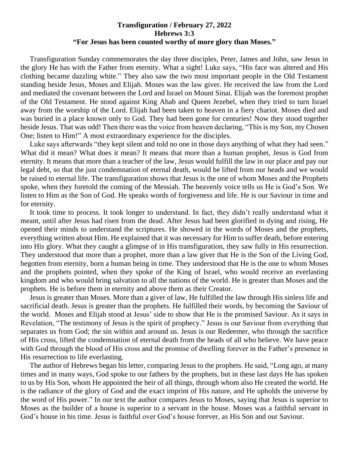## **Transfiguration / February 27, 2022 Hebrews 3:3 "For Jesus has been counted worthy of more glory than Moses."**

 Transfiguration Sunday commemorates the day three disciples, Peter, James and John, saw Jesus in the glory He has with the Father from eternity. What a sight! Luke says, "His face was altered and His clothing became dazzling white." They also saw the two most important people in the Old Testament standing beside Jesus, Moses and Elijah. Moses was the law giver. He received the law from the Lord and mediated the covenant between the Lord and Israel on Mount Sinai. Elijah was the foremost prophet of the Old Testament. He stood against King Ahab and Queen Jezebel, when they tried to turn Israel away from the worship of the Lord. Elijah had been taken to heaven in a fiery chariot. Moses died and was buried in a place known only to God. They had been gone for centuries! Now they stood together beside Jesus. That was odd! Then there was the voice from heaven declaring, "This is my Son, my Chosen One; listen to Him!" A most extraordinary experience for the disciples.

Luke says afterwards "they kept silent and told no one in those days anything of what they had seen." What did it mean? What does it mean? It means that more than a human prophet, Jesus is God from eternity. It means that more than a teacher of the law, Jesus would fulfill the law in our place and pay our legal debt, so that the just condemnation of eternal death, would be lifted from our heads and we would be raised to eternal life. The transfiguration shows that Jesus is the one of whom Moses and the Prophets spoke, when they foretold the coming of the Messiah. The heavenly voice tells us He is God's Son. We listen to Him as the Son of God. He speaks words of forgiveness and life. He is our Saviour in time and for eternity.

 It took time to process. It took longer to understand. In fact, they didn't really understand what it meant, until after Jesus had risen from the dead. After Jesus had been glorified in dying and rising, He opened their minds to understand the scriptures. He showed in the words of Moses and the prophets, everything written about Him. He explained that it was necessary for Him to suffer death, before entering into His glory. What they caught a glimpse of in His transfiguration, they saw fully in His resurrection. They understood that more than a prophet, more than a law giver that He is the Son of the Living God, begotten from eternity, born a human being in time. They understood that He is the one to whom Moses and the prophets pointed, when they spoke of the King of Israel, who would receive an everlasting kingdom and who would bring salvation to all the nations of the world. He is greater than Moses and the prophets. He is before them in eternity and above them as their Creator.

 Jesus is greater than Moses. More than a giver of law, He fulfilled the law through His sinless life and sacrificial death. Jesus is greater than the prophets. He fulfilled their words, by becoming the Saviour of the world. Moses and Elijah stood at Jesus' side to show that He is the promised Saviour. As it says in Revelation, "The testimony of Jesus is the spirit of prophecy." Jesus is our Saviour from everything that separates us from God; the sin within and around us. Jesus is our Redeemer, who through the sacrifice of His cross, lifted the condemnation of eternal death from the heads of all who believe. We have peace with God through the blood of His cross and the promise of dwelling forever in the Father's presence in His resurrection to life everlasting.

 The author of Hebrews began his letter, comparing Jesus to the prophets. He said, "Long ago, at many times and in many ways, God spoke to our fathers by the prophets, but in these last days He has spoken to us by His Son, whom He appointed the heir of all things, through whom also He created the world. He is the radiance of the glory of God and the exact imprint of His nature, and He upholds the universe by the word of His power." In our text the author compares Jesus to Moses, saying that Jesus is superior to Moses as the builder of a house is superior to a servant in the house. Moses was a faithful servant in God's house in his time. Jesus is faithful over God's house forever, as His Son and our Saviour.